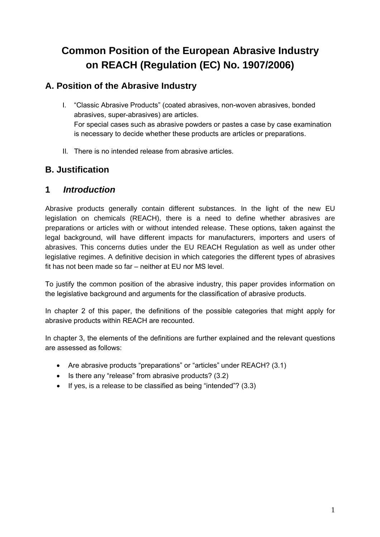# **Common Position of the European Abrasive Industry on REACH (Regulation (EC) No. 1907/2006)**

# **A. Position of the Abrasive Industry**

- I. "Classic Abrasive Products" (coated abrasives, non-woven abrasives, bonded abrasives, super-abrasives) are articles. For special cases such as abrasive powders or pastes a case by case examination is necessary to decide whether these products are articles or preparations.
- II. There is no intended release from abrasive articles.

### **B. Justification**

### **1** *Introduction*

Abrasive products generally contain different substances. In the light of the new EU legislation on chemicals (REACH), there is a need to define whether abrasives are preparations or articles with or without intended release. These options, taken against the legal background, will have different impacts for manufacturers, importers and users of abrasives. This concerns duties under the EU REACH Regulation as well as under other legislative regimes. A definitive decision in which categories the different types of abrasives fit has not been made so far – neither at EU nor MS level.

To justify the common position of the abrasive industry, this paper provides information on the legislative background and arguments for the classification of abrasive products.

In chapter 2 of this paper, the definitions of the possible categories that might apply for abrasive products within REACH are recounted.

In chapter 3, the elements of the definitions are further explained and the relevant questions are assessed as follows:

- Are abrasive products "preparations" or "articles" under REACH? (3.1)
- Is there any "release" from abrasive products? (3.2)
- If yes, is a release to be classified as being "intended"?  $(3.3)$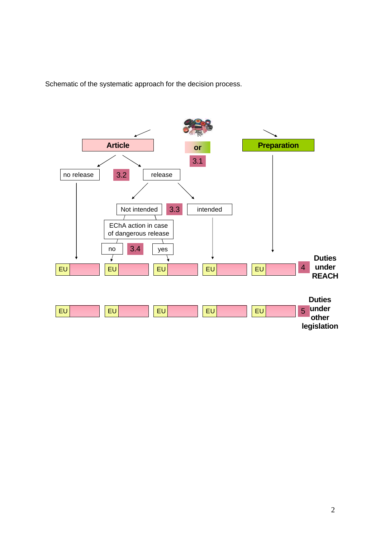Schematic of the systematic approach for the decision process.

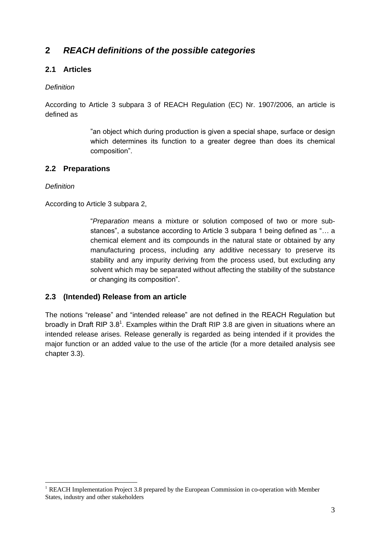# **2** *REACH definitions of the possible categories*

### **2.1 Articles**

### *Definition*

According to Article 3 subpara 3 of REACH Regulation (EC) Nr. 1907/2006, an article is defined as

> "an object which during production is given a special shape, surface or design which determines its function to a greater degree than does its chemical composition".

### **2.2 Preparations**

#### *Definition*

According to Article 3 subpara 2,

"*Preparation* means a mixture or solution composed of two or more substances", a substance according to Article 3 subpara 1 being defined as "*…* a chemical element and its compounds in the natural state or obtained by any manufacturing process, including any additive necessary to preserve its stability and any impurity deriving from the process used, but excluding any solvent which may be separated without affecting the stability of the substance or changing its composition".

### **2.3 (Intended) Release from an article**

The notions "release" and "intended release" are not defined in the REACH Regulation but broadly in Draft RIP  $3.8^1$ . Examples within the Draft RIP 3.8 are given in situations where an intended release arises. Release generally is regarded as being intended if it provides the major function or an added value to the use of the article (for a more detailed analysis see chapter 3.3).

<sup>&</sup>lt;sup>1</sup> REACH Implementation Project 3.8 prepared by the European Commission in co-operation with Member States, industry and other stakeholders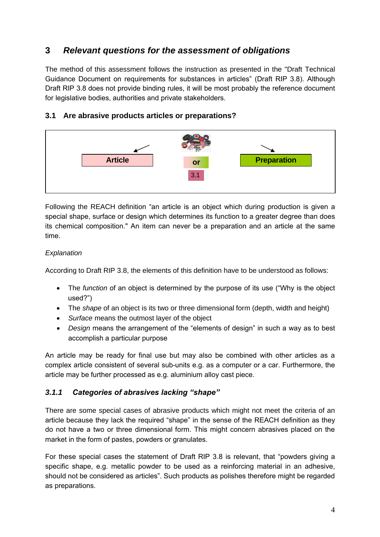# **3** *Relevant questions for the assessment of obligations*

The method of this assessment follows the instruction as presented in the "Draft Technical Guidance Document on requirements for substances in articles" (Draft RIP 3.8). Although Draft RIP 3.8 does not provide binding rules, it will be most probably the reference document for legislative bodies, authorities and private stakeholders.





Following the REACH definition "an article is an object which during production is given a special shape, surface or design which determines its function to a greater degree than does its chemical composition." An item can never be a preparation and an article at the same time.

### *Explanation*

According to Draft RIP 3.8, the elements of this definition have to be understood as follows:

- The *function* of an object is determined by the purpose of its use ("Why is the object used?")
- The *shape* of an object is its two or three dimensional form (depth, width and height)
- *Surface* means the outmost layer of the object
- *Design* means the arrangement of the "elements of design" in such a way as to best accomplish a particular purpose

An article may be ready for final use but may also be combined with other articles as a complex article consistent of several sub-units e.g. as a computer or a car. Furthermore, the article may be further processed as e.g. aluminium alloy cast piece.

### *3.1.1 Categories of abrasives lacking "shape"*

There are some special cases of abrasive products which might not meet the criteria of an article because they lack the required "shape" in the sense of the REACH definition as they do not have a two or three dimensional form. This might concern abrasives placed on the market in the form of pastes, powders or granulates.

For these special cases the statement of Draft RIP 3.8 is relevant, that "powders giving a specific shape, e.g. metallic powder to be used as a reinforcing material in an adhesive, should not be considered as articles". Such products as polishes therefore might be regarded as preparations.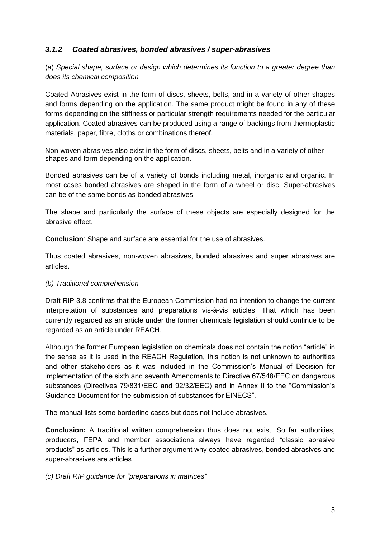### *3.1.2 Coated abrasives, bonded abrasives / super-abrasives*

(a) *Special shape, surface or design which determines its function to a greater degree than does its chemical composition*

Coated Abrasives exist in the form of discs, sheets, belts, and in a variety of other shapes and forms depending on the application. The same product might be found in any of these forms depending on the stiffness or particular strength requirements needed for the particular application. Coated abrasives can be produced using a range of backings from thermoplastic materials, paper, fibre, cloths or combinations thereof.

Non-woven abrasives also exist in the form of discs, sheets, belts and in a variety of other shapes and form depending on the application.

Bonded abrasives can be of a variety of bonds including metal, inorganic and organic. In most cases bonded abrasives are shaped in the form of a wheel or disc. Super-abrasives can be of the same bonds as bonded abrasives.

The shape and particularly the surface of these objects are especially designed for the abrasive effect.

**Conclusion**: Shape and surface are essential for the use of abrasives.

Thus coated abrasives, non-woven abrasives, bonded abrasives and super abrasives are articles.

#### *(b) Traditional comprehension*

Draft RIP 3.8 confirms that the European Commission had no intention to change the current interpretation of substances and preparations vis-à-vis articles. That which has been currently regarded as an article under the former chemicals legislation should continue to be regarded as an article under REACH.

Although the former European legislation on chemicals does not contain the notion "article" in the sense as it is used in the REACH Regulation, this notion is not unknown to authorities and other stakeholders as it was included in the Commission's Manual of Decision for implementation of the sixth and seventh Amendments to Directive 67/548/EEC on dangerous substances (Directives 79/831/EEC and 92/32/EEC) and in Annex II to the "Commission's Guidance Document for the submission of substances for EINECS".

The manual lists some borderline cases but does not include abrasives.

**Conclusion:** A traditional written comprehension thus does not exist. So far authorities, producers, FEPA and member associations always have regarded "classic abrasive products" as articles. This is a further argument why coated abrasives, bonded abrasives and super-abrasives are articles.

*(c) Draft RIP guidance for "preparations in matrices"*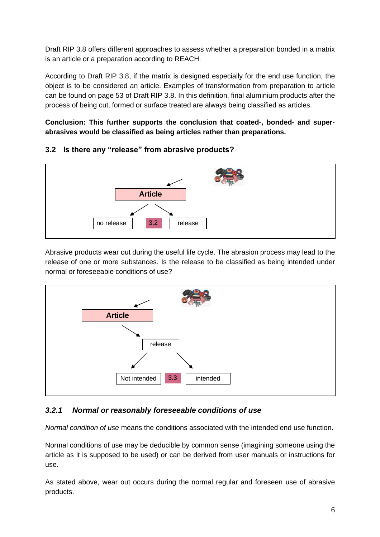Draft RIP 3.8 offers different approaches to assess whether a preparation bonded in a matrix is an article or a preparation according to REACH.

According to Draft RIP 3.8, if the matrix is designed especially for the end use function, the object is to be considered an article. Examples of transformation from preparation to article can be found on page 53 of Draft RIP 3.8. In this definition, final aluminium products after the process of being cut, formed or surface treated are always being classified as articles.

**Conclusion: This further supports the conclusion that coated-, bonded- and superabrasives would be classified as being articles rather than preparations.**



### **3.2 Is there any "release" from abrasive products?**

Abrasive products wear out during the useful life cycle. The abrasion process may lead to the release of one or more substances. Is the release to be classified as being intended under normal or foreseeable conditions of use?



### *3.2.1 Normal or reasonably foreseeable conditions of use*

*Normal condition of use* means the conditions associated with the intended end use function.

Normal conditions of use may be deducible by common sense (imagining someone using the article as it is supposed to be used) or can be derived from user manuals or instructions for use.

As stated above, wear out occurs during the normal regular and foreseen use of abrasive products.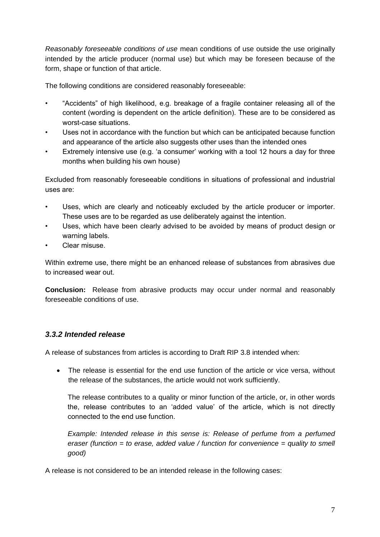*Reasonably foreseeable conditions of use* mean conditions of use outside the use originally intended by the article producer (normal use) but which may be foreseen because of the form, shape or function of that article.

The following conditions are considered reasonably foreseeable:

- "Accidents" of high likelihood, e.g. breakage of a fragile container releasing all of the content (wording is dependent on the article definition). These are to be considered as worst-case situations.
- Uses not in accordance with the function but which can be anticipated because function and appearance of the article also suggests other uses than the intended ones
- Extremely intensive use (e.g. 'a consumer' working with a tool 12 hours a day for three months when building his own house)

Excluded from reasonably foreseeable conditions in situations of professional and industrial uses are:

- Uses, which are clearly and noticeably excluded by the article producer or importer. These uses are to be regarded as use deliberately against the intention.
- Uses, which have been clearly advised to be avoided by means of product design or warning labels.
- Clear misuse.

Within extreme use, there might be an enhanced release of substances from abrasives due to increased wear out.

**Conclusion:** Release from abrasive products may occur under normal and reasonably foreseeable conditions of use.

### *3.3.2 Intended release*

A release of substances from articles is according to Draft RIP 3.8 intended when:

• The release is essential for the end use function of the article or vice versa, without the release of the substances, the article would not work sufficiently.

The release contributes to a quality or minor function of the article, or, in other words the, release contributes to an 'added value' of the article, which is not directly connected to the end use function.

*Example: Intended release in this sense is: Release of perfume from a perfumed eraser (function = to erase, added value / function for convenience = quality to smell good)* 

A release is not considered to be an intended release in the following cases: